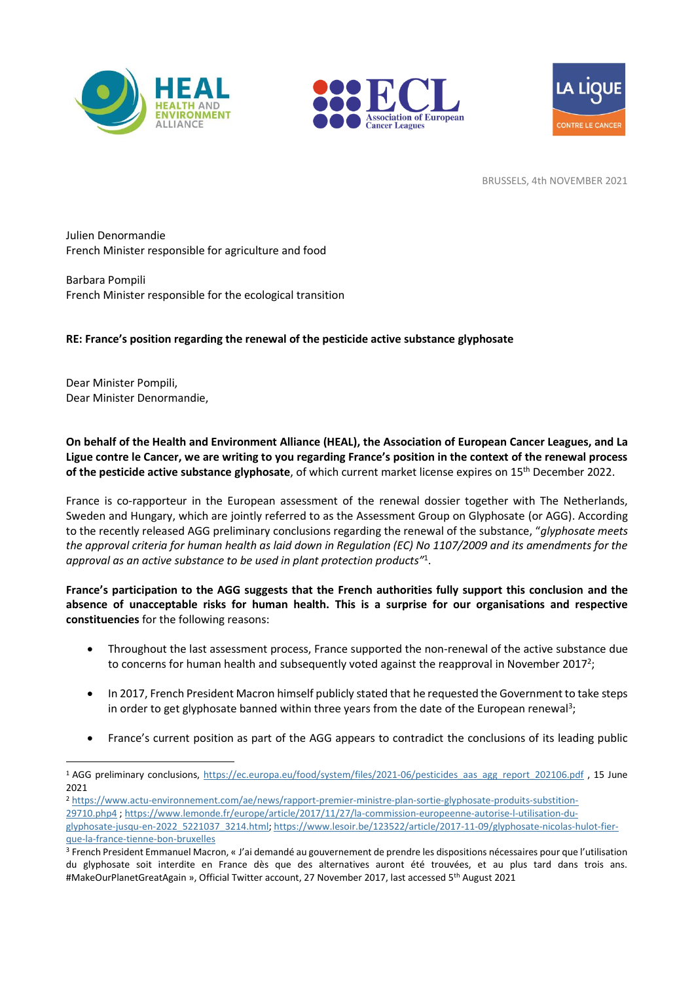





BRUSSELS, 4th NOVEMBER 2021

Julien Denormandie French Minister responsible for agriculture and food

Barbara Pompili French Minister responsible for the ecological transition

## **RE: France's position regarding the renewal of the pesticide active substance glyphosate**

Dear Minister Pompili, Dear Minister Denormandie,

**On behalf of the Health and Environment Alliance (HEAL), the Association of European Cancer Leagues, and La Ligue contre le Cancer, we are writing to you regarding France's position in the context of the renewal process of the pesticide active substance glyphosate**, of which current market license expires on 15th December 2022.

France is co-rapporteur in the European assessment of the renewal dossier together with The Netherlands, Sweden and Hungary, which are jointly referred to as the Assessment Group on Glyphosate (or AGG). According to the recently released AGG preliminary conclusions regarding the renewal of the substance, "*glyphosate meets the approval criteria for human health as laid down in Regulation (EC) No 1107/2009 and its amendments for the approval as an active substance to be used in plant protection products"*<sup>1</sup> .

**France's participation to the AGG suggests that the French authorities fully support this conclusion and the absence of unacceptable risks for human health. This is a surprise for our organisations and respective constituencies** for the following reasons:

- Throughout the last assessment process, France supported the non-renewal of the active substance due to concerns for human health and subsequently voted against the reapproval in November 2017<sup>2</sup>;
- In 2017, French President Macron himself publicly stated that he requested the Government to take steps in order to get glyphosate banned within three years from the date of the European renewal<sup>3</sup>;
- France's current position as part of the AGG appears to contradict the conclusions of its leading public

<sup>2</sup> [https://www.actu-environnement.com/ae/news/rapport-premier-ministre-plan-sortie-glyphosate-produits-substition-](https://www.actu-environnement.com/ae/news/rapport-premier-ministre-plan-sortie-glyphosate-produits-substition-29710.php4)[29710.php4](https://www.actu-environnement.com/ae/news/rapport-premier-ministre-plan-sortie-glyphosate-produits-substition-29710.php4) ; [https://www.lemonde.fr/europe/article/2017/11/27/la-commission-europeenne-autorise-l-utilisation-du](https://www.lemonde.fr/europe/article/2017/11/27/la-commission-europeenne-autorise-l-utilisation-du-glyphosate-jusqu-en-2022_5221037_3214.html)[glyphosate-jusqu-en-2022\\_5221037\\_3214.html;](https://www.lemonde.fr/europe/article/2017/11/27/la-commission-europeenne-autorise-l-utilisation-du-glyphosate-jusqu-en-2022_5221037_3214.html) [https://www.lesoir.be/123522/article/2017-11-09/glyphosate-nicolas-hulot-fier](https://www.lesoir.be/123522/article/2017-11-09/glyphosate-nicolas-hulot-fier-que-la-france-tienne-bon-bruxelles)[que-la-france-tienne-bon-bruxelles](https://www.lesoir.be/123522/article/2017-11-09/glyphosate-nicolas-hulot-fier-que-la-france-tienne-bon-bruxelles)

<sup>&</sup>lt;sup>1</sup> AGG preliminary conclusions, [https://ec.europa.eu/food/system/files/2021-06/pesticides\\_aas\\_agg\\_report\\_202106.pdf](https://ec.europa.eu/food/system/files/2021-06/pesticides_aas_agg_report_202106.pdf) , 15 June 2021

<sup>3</sup> French President Emmanuel Macron, « J'ai demandé au gouvernement de prendre les dispositions nécessaires pour que l'utilisation du glyphosate soit interdite en France dès que des alternatives auront été trouvées, et au plus tard dans trois ans. #MakeOurPlanetGreatAgain », Official Twitter account, 27 November 2017, last accessed 5th August 2021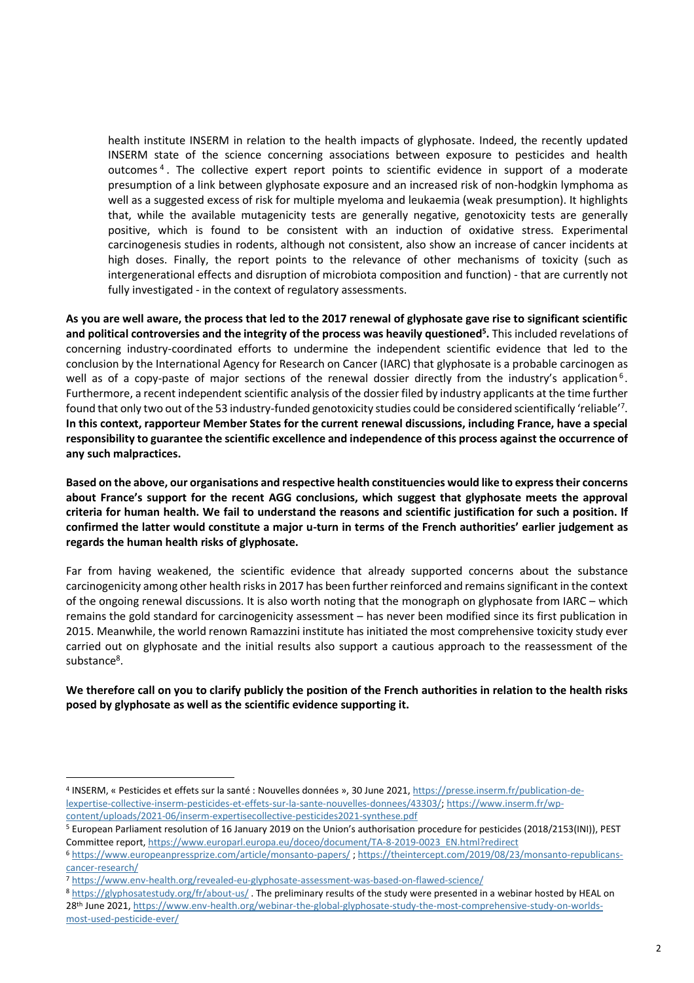health institute INSERM in relation to the health impacts of glyphosate. Indeed, the recently updated INSERM state of the science concerning associations between exposure to pesticides and health outcomes<sup>4</sup>. The collective expert report points to scientific evidence in support of a moderate presumption of a link between glyphosate exposure and an increased risk of non-hodgkin lymphoma as well as a suggested excess of risk for multiple myeloma and leukaemia (weak presumption). It highlights that, while the available mutagenicity tests are generally negative, genotoxicity tests are generally positive, which is found to be consistent with an induction of oxidative stress. Experimental carcinogenesis studies in rodents, although not consistent, also show an increase of cancer incidents at high doses. Finally, the report points to the relevance of other mechanisms of toxicity (such as intergenerational effects and disruption of microbiota composition and function) - that are currently not fully investigated - in the context of regulatory assessments.

**As you are well aware, the process that led to the 2017 renewal of glyphosate gave rise to significant scientific and political controversies and the integrity of the process was heavily questioned<sup>5</sup> .** This included revelations of concerning industry-coordinated efforts to undermine the independent scientific evidence that led to the conclusion by the International Agency for Research on Cancer (IARC) that glyphosate is a probable carcinogen as well as of a copy-paste of major sections of the renewal dossier directly from the industry's application  $6$ . Furthermore, a recent independent scientific analysis of the dossier filed by industry applicants at the time further found that only two out of the 53 industry-funded genotoxicity studies could be considered scientifically 'reliable'<sup>7</sup>. **In this context, rapporteur Member States for the current renewal discussions, including France, have a special responsibility to guarantee the scientific excellence and independence of this process against the occurrence of any such malpractices.**

**Based on the above, our organisations and respective health constituencies would like to express their concerns about France's support for the recent AGG conclusions, which suggest that glyphosate meets the approval criteria for human health. We fail to understand the reasons and scientific justification for such a position. If confirmed the latter would constitute a major u-turn in terms of the French authorities' earlier judgement as regards the human health risks of glyphosate.**

Far from having weakened, the scientific evidence that already supported concerns about the substance carcinogenicity among other health risks in 2017 has been further reinforced and remainssignificant in the context of the ongoing renewal discussions. It is also worth noting that the monograph on glyphosate from IARC – which remains the gold standard for carcinogenicity assessment – has never been modified since its first publication in 2015. Meanwhile, the world renown Ramazzini institute has initiated the most comprehensive toxicity study ever carried out on glyphosate and the initial results also support a cautious approach to the reassessment of the substance<sup>8</sup>.

**We therefore call on you to clarify publicly the position of the French authorities in relation to the health risks posed by glyphosate as well as the scientific evidence supporting it.**

<sup>4</sup> INSERM, « Pesticides et effets sur la santé : Nouvelles données », 30 June 2021, [https://presse.inserm.fr/publication-de](https://presse.inserm.fr/publication-de-lexpertise-collective-inserm-pesticides-et-effets-sur-la-sante-nouvelles-donnees/43303/)[lexpertise-collective-inserm-pesticides-et-effets-sur-la-sante-nouvelles-donnees/43303/;](https://presse.inserm.fr/publication-de-lexpertise-collective-inserm-pesticides-et-effets-sur-la-sante-nouvelles-donnees/43303/) [https://www.inserm.fr/wp](https://www.inserm.fr/wp-content/uploads/2021-06/inserm-expertisecollective-pesticides2021-synthese.pdf)[content/uploads/2021-06/inserm-expertisecollective-pesticides2021-synthese.pdf](https://www.inserm.fr/wp-content/uploads/2021-06/inserm-expertisecollective-pesticides2021-synthese.pdf) 

<sup>5</sup> European Parliament resolution of 16 January 2019 on the Union's authorisation procedure for pesticides (2018/2153(INI)), PEST Committee report, [https://www.europarl.europa.eu/doceo/document/TA-8-2019-0023\\_EN.html?redirect](https://www.europarl.europa.eu/doceo/document/TA-8-2019-0023_EN.html?redirect)

<sup>6</sup> <https://www.europeanpressprize.com/article/monsanto-papers/> ; [https://theintercept.com/2019/08/23/monsanto-republicans](https://theintercept.com/2019/08/23/monsanto-republicans-cancer-research/)[cancer-research/](https://theintercept.com/2019/08/23/monsanto-republicans-cancer-research/)

<sup>7</sup> <https://www.env-health.org/revealed-eu-glyphosate-assessment-was-based-on-flawed-science/>

<sup>8</sup> <https://glyphosatestudy.org/fr/about-us/>. The preliminary results of the study were presented in a webinar hosted by HEAL on 28th June 2021[, https://www.env-health.org/webinar-the-global-glyphosate-study-the-most-comprehensive-study-on-worlds](https://www.env-health.org/webinar-the-global-glyphosate-study-the-most-comprehensive-study-on-worlds-most-used-pesticide-ever/)[most-used-pesticide-ever/](https://www.env-health.org/webinar-the-global-glyphosate-study-the-most-comprehensive-study-on-worlds-most-used-pesticide-ever/)